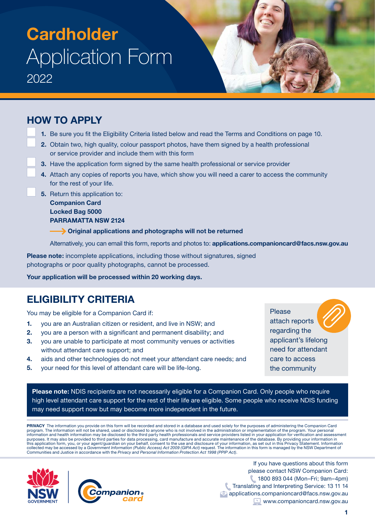### **HOW TO APPLY**

- **1.** Be sure you fit the Eligibility Criteria listed below and read the Terms and Conditions on page 10.
- **2.** Obtain two, high quality, colour passport photos, have them signed by a health professional or service provider and include them with this form
- **3.** Have the application form signed by the same health professional or service provider
- **4.** Attach any copies of reports you have, which show you will need a carer to access the community for the rest of your life.
- **5.** Return this application to:

**Companion Card Locked Bag 5000 PARRAMATTA NSW 2124**

 **Original applications and photographs will not be returned**

Alternatively, you can email this form, reports and photos to: **[applications.companioncard@facs.nsw.gov.au](http://applications.companioncard@facs.nsw.gov.au)**

**Please note:** incomplete applications, including those without signatures, signed photographs or poor quality photographs, cannot be processed.

**Your application will be processed within 20 working days.**

## **ELIGIBILITY CRITERIA**

You may be eligible for a Companion Card if:

- **1.** you are an Australian citizen or resident, and live in NSW; and
- **2.** you are a person with a significant and permanent disability; and
- **3.** you are unable to participate at most community venues or activities without attendant care support; and
- **4.** aids and other technologies do not meet your attendant care needs; and
- **5.** your need for this level of attendant care will be life-long.

Please attach reports regarding the applicant's lifelong need for attendant care to access the community

**Please note:** NDIS recipients are not necessarily eligible for a Companion Card. Only people who require high level attendant care support for the rest of their life are eligible. Some people who receive NDIS funding may need support now but may become more independent in the future.

**PRIVACY** The information you provide on this form will be recorded and stored in a database and used solely for the purposes of administering the Companion Card program. The information will not be shared, used or disclosed to anyone who is not involved in the administration or implementation of the program. Your personal<br>information and health information may be disclosed to the purposes. It may also be provided to third parties for data processing, card manufacture and accurate maintenance of the database. By providing your information in<br>this application form, you, or your agent/guardian on your Communities and Justice in accordance with the *Privacy and Personal Information Protection Act 1998 (PPIP Act)*.



If you have questions about this form please contact NSW Companion Card: 1800 893 044 (Mon–Fri; 9am–4pm) Translating and Interpreting Service: 13 11 14 [applications.companioncard@facs.nsw.gov.au](mailto:applications.companioncard%40facs.nsw.gov.au?subject=) [www.companioncard.nsw.gov.au](http://www.companioncard.nsw.gov.au)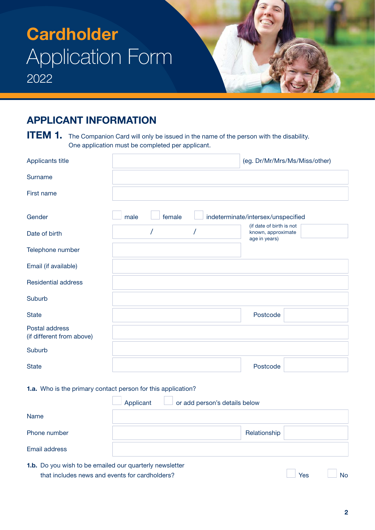### **APPLICANT INFORMATION**

**ITEM 1.** The Companion Card will only be issued in the name of the person with the disability. One application must be completed per applicant.

| Applicants title                            |      |        | (eg. Dr/Mr/Mrs/Ms/Miss/other)                                   |
|---------------------------------------------|------|--------|-----------------------------------------------------------------|
| Surname                                     |      |        |                                                                 |
| First name                                  |      |        |                                                                 |
| Gender                                      | male | female | indeterminate/intersex/unspecified                              |
| Date of birth                               |      |        | (if date of birth is not<br>known, approximate<br>age in years) |
| Telephone number                            |      |        |                                                                 |
| Email (if available)                        |      |        |                                                                 |
| <b>Residential address</b>                  |      |        |                                                                 |
| Suburb                                      |      |        |                                                                 |
| <b>State</b>                                |      |        | Postcode                                                        |
| Postal address<br>(if different from above) |      |        |                                                                 |
| Suburb                                      |      |        |                                                                 |
| <b>State</b>                                |      |        | Postcode                                                        |

#### **1.a.** Who is the primary contact person for this application?

|                                                                | Applicant<br>or add person's details below |              |  |  |  |
|----------------------------------------------------------------|--------------------------------------------|--------------|--|--|--|
| Name                                                           |                                            |              |  |  |  |
| Phone number                                                   |                                            | Relationship |  |  |  |
| Email address                                                  |                                            |              |  |  |  |
| <b>1.b.</b> Do you wish to be emailed our quarterly newsletter |                                            |              |  |  |  |

that includes news and events for cardholders?<br>
Wes No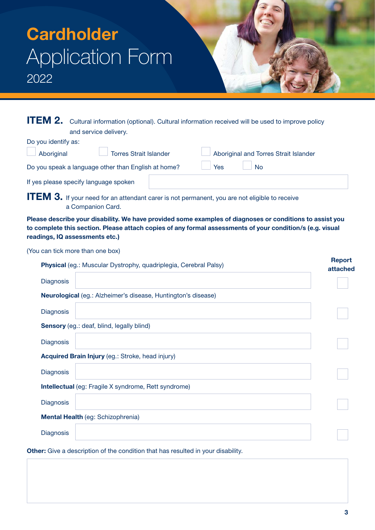| <b>ITEM 2.</b> Cultural information (optional). Cultural information received will be used to improve policy |
|--------------------------------------------------------------------------------------------------------------|
| and service delivery.                                                                                        |

| Torres Strait Islander<br>Aboriginal                |     | Aboriginal and Torres Strait Islander |
|-----------------------------------------------------|-----|---------------------------------------|
| Do you speak a language other than English at home? | Yes | <b>No</b>                             |
| If yes please specify language spoken               |     |                                       |

**ITEM 3.** If your need for an attendant carer is not permanent, you are not eligible to receive a Companion Card.

**Please describe your disability. We have provided some examples of diagnoses or conditions to assist you to complete this section. Please attach copies of any formal assessments of your condition/s (e.g. visual readings, IQ assessments etc.)**

(You can tick more than one box)

Do you identify as:

|                  | Physical (eg.: Muscular Dystrophy, quadriplegia, Cerebral Palsy) | <b>Report</b><br>attached |
|------------------|------------------------------------------------------------------|---------------------------|
| <b>Diagnosis</b> |                                                                  |                           |
|                  | Neurological (eg.: Alzheimer's disease, Huntington's disease)    |                           |
| <b>Diagnosis</b> |                                                                  |                           |
|                  | Sensory (eg.: deaf, blind, legally blind)                        |                           |
| <b>Diagnosis</b> |                                                                  |                           |
|                  | Acquired Brain Injury (eg.: Stroke, head injury)                 |                           |
| <b>Diagnosis</b> |                                                                  |                           |
|                  | <b>Intellectual</b> (eg: Fragile X syndrome, Rett syndrome)      |                           |
| <b>Diagnosis</b> |                                                                  |                           |
|                  | Mental Health (eg: Schizophrenia)                                |                           |
| <b>Diagnosis</b> |                                                                  |                           |

**3**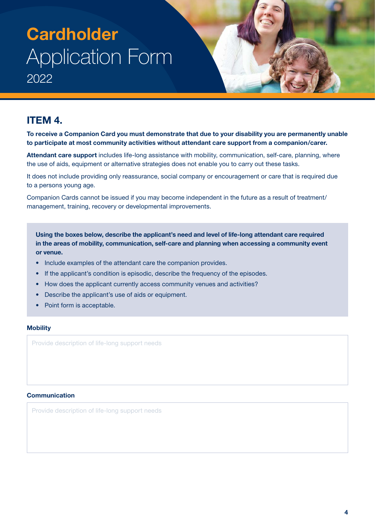### **ITEM 4.**

**To receive a Companion Card you must demonstrate that due to your disability you are permanently unable to participate at most community activities without attendant care support from a companion/carer.**

**Attendant care support** includes life-long assistance with mobility, communication, self-care, planning, where the use of aids, equipment or alternative strategies does not enable you to carry out these tasks.

It does not include providing only reassurance, social company or encouragement or care that is required due to a persons young age.

Companion Cards cannot be issued if you may become independent in the future as a result of treatment/ management, training, recovery or developmental improvements.

**Using the boxes below, describe the applicant's need and level of life-long attendant care required in the areas of mobility, communication, self-care and planning when accessing a community event or venue.**

- Include examples of the attendant care the companion provides.
- If the applicant's condition is episodic, describe the frequency of the episodes.
- How does the applicant currently access community venues and activities?
- Describe the applicant's use of aids or equipment.
- Point form is acceptable.

#### **Mobility**

Provide description of life-long support needs

#### **Communication**

Provide description of life-long support needs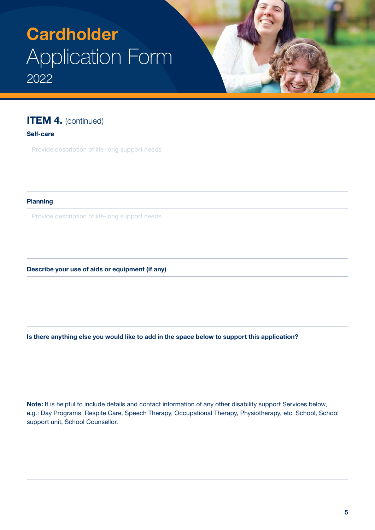### **ITEM 4.** (continued)

#### **Self-care**

Provide description of life-long support needs

#### **Planning**

Provide description of life-long support needs

**Describe your use of aids or equipment (if any)**

**Is there anything else you would like to add in the space below to support this application?**

**Note:** It is helpful to include details and contact information of any other disability support Services below, e.g.: Day Programs, Respite Care, Speech Therapy, Occupational Therapy, Physiotherapy, etc. School, School support unit, School Counsellor.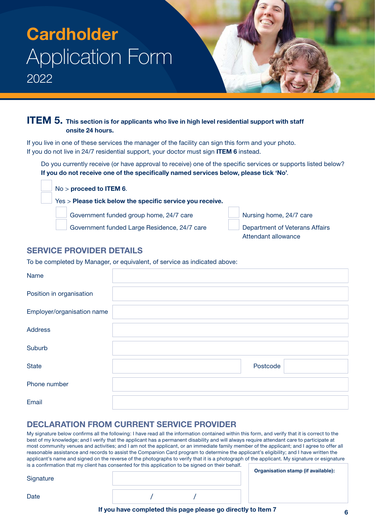### **ITEM 5.** This section is for applicants who live in high level residential support with staff **onsite 24 hours.**

If you live in one of these services the manager of the facility can sign this form and your photo. If you do not live in 24/7 residential support, your doctor must sign **ITEM 6** instead.

Do you currently receive (or have approval to receive) one of the specific services or supports listed below? **If you do not receive one of the specifically named services below, please tick 'No'**.

No > **proceed to ITEM 6**. Yes > **Please tick below the specific service you receive.** Government funded group home, 24/7 care Nursing home, 24/7 care

Government funded Large Residence, 24/7 care Department of Veterans Affairs

Attendant allowance

### **SERVICE PROVIDER DETAILS**

To be completed by Manager, or equivalent, of service as indicated above:

| Name                       |          |  |
|----------------------------|----------|--|
| Position in organisation   |          |  |
| Employer/organisation name |          |  |
| <b>Address</b>             |          |  |
| Suburb                     |          |  |
| <b>State</b>               | Postcode |  |
| Phone number               |          |  |
| Email                      |          |  |

### **DECLARATION FROM CURRENT SERVICE PROVIDER**

My signature below confirms all the following: I have read all the information contained within this form, and verify that it is correct to the best of my knowledge; and I verify that the applicant has a permanent disability and will always require attendant care to participate at most community venues and activities; and I am not the applicant, or an immediate family member of the applicant; and I agree to offer all reasonable assistance and records to assist the Companion Card program to determine the applicant's eligibility; and I have written the applicant's name and signed on the reverse of the photographs to verify that it is a photograph of the applicant. My signature or esignature is a confirmation that my client has consented for this application to be signed on their behalf.

| Signature |  | ∪r |
|-----------|--|----|
| Date      |  |    |

**Organisation stamp (if available):**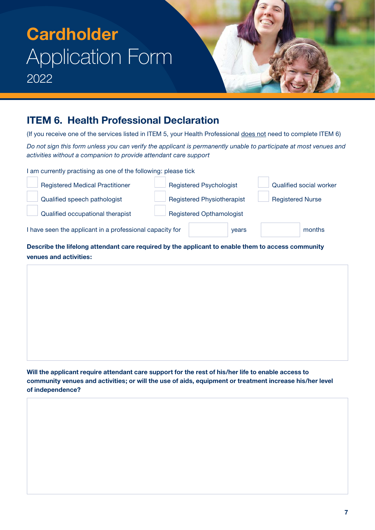### **ITEM 6. Health Professional Declaration**

(If you receive one of the services listed in ITEM 5, your Health Professional does not need to complete ITEM 6)

*Do not sign this form unless you can verify the applicant is permanently unable to participate at most venues and activities without a companion to provide attendant care support*

I am currently practising as one of the following: please tick

| <b>Registered Medical Practitioner</b>                   |  | <b>Registered Psychologist</b>    |       |                         | Qualified social worker |  |
|----------------------------------------------------------|--|-----------------------------------|-------|-------------------------|-------------------------|--|
| Qualified speech pathologist                             |  | <b>Registered Physiotherapist</b> |       | <b>Registered Nurse</b> |                         |  |
| Qualified occupational therapist                         |  | <b>Registered Opthamologist</b>   |       |                         |                         |  |
| I have seen the applicant in a professional capacity for |  |                                   | years |                         | months                  |  |

**Describe the lifelong attendant care required by the applicant to enable them to access community venues and activities:**

**Will the applicant require attendant care support for the rest of his/her life to enable access to community venues and activities; or will the use of aids, equipment or treatment increase his/her level of independence?**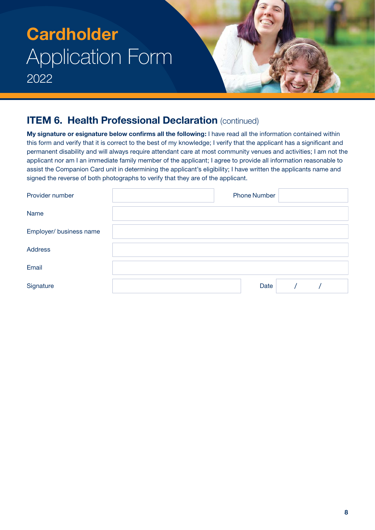### **ITEM 6. Health Professional Declaration** (continued)

**My signature or esignature below confirms all the following:** I have read all the information contained within this form and verify that it is correct to the best of my knowledge; I verify that the applicant has a significant and permanent disability and will always require attendant care at most community venues and activities; I am not the applicant nor am I an immediate family member of the applicant; I agree to provide all information reasonable to assist the Companion Card unit in determining the applicant's eligibility; I have written the applicants name and signed the reverse of both photographs to verify that they are of the applicant.

| Provider number         | <b>Phone Number</b> |  |  |
|-------------------------|---------------------|--|--|
| Name                    |                     |  |  |
| Employer/ business name |                     |  |  |
| <b>Address</b>          |                     |  |  |
| Email                   |                     |  |  |
| Signature               | Date                |  |  |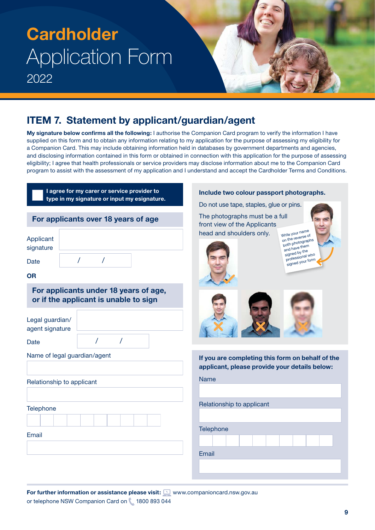### **ITEM 7. Statement by applicant/guardian/agent**

**My signature below confirms all the following:** I authorise the Companion Card program to verify the information I have supplied on this form and to obtain any information relating to my application for the purpose of assessing my eligibility for a Companion Card. This may include obtaining information held in databases by government departments and agencies, and disclosing information contained in this form or obtained in connection with this application for the purpose of assessing eligibility; I agree that health professionals or service providers may disclose information about me to the Companion Card program to assist with the assessment of my application and I understand and accept the Cardholder Terms and Conditions.

| I agree for my carer or service provider to<br>type in my signature or input my esignature.                                              | Include two colour passport photographs.<br>Do not use tape, staples, glue or pins.                                                                                                                                              |
|------------------------------------------------------------------------------------------------------------------------------------------|----------------------------------------------------------------------------------------------------------------------------------------------------------------------------------------------------------------------------------|
| For applicants over 18 years of age<br>Applicant<br>signature<br>Date<br><b>OR</b>                                                       | The photographs must be a full<br>front view of the Applicants<br>Write your name<br>head and shoulders only.<br>on the reverse of<br>both photographs<br>and have them<br>signed by the<br>professional who<br>signed your form |
| For applicants under 18 years of age,<br>or if the applicant is unable to sign<br>Legal guardian/<br>agent signature<br>$\prime$<br>Date |                                                                                                                                                                                                                                  |
| Name of legal guardian/agent<br>Relationship to applicant                                                                                | If you are completing this form on behalf of the<br>applicant, please provide your details below:<br><b>Name</b>                                                                                                                 |
| Telephone<br><b>Email</b>                                                                                                                | Relationship to applicant<br>Telephone<br>Email                                                                                                                                                                                  |

**For further information or assistance please visit:**  $\square$  [www.companioncard.nsw.gov.au](http://www.companioncard.nsw.gov.au) or telephone NSW Companion Card on 1800 893 044